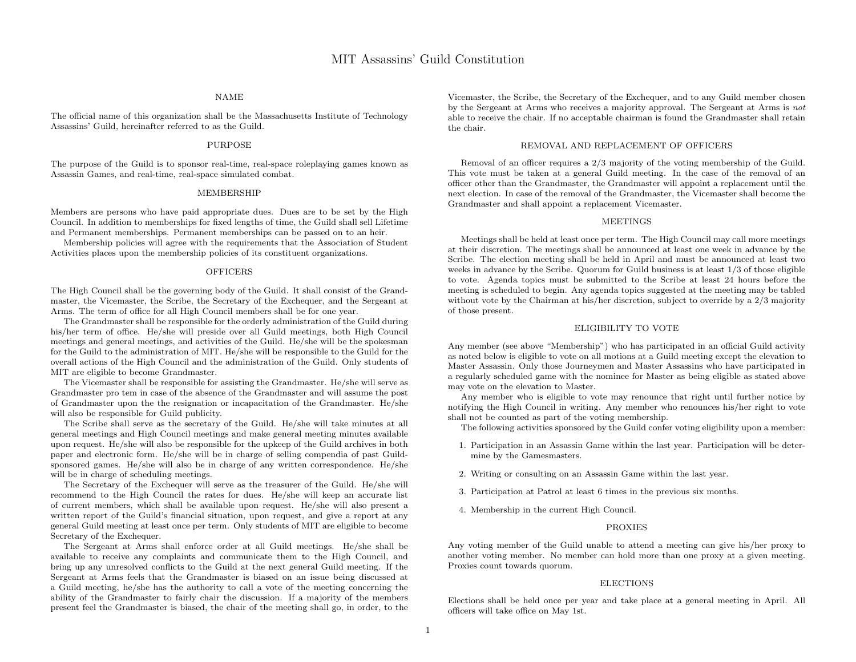### NAME

The official name of this organization shall be the Massachusetts Institute of Technology Assassins' Guild, hereinafter referred to as the Guild.

#### PURPOSE

The purpose of the Guild is to sponsor real-time, real-space roleplaying games known as Assassin Games, and real-time, real-space simulated combat.

#### MEMBERSHIP

Members are persons who have paid appropriate dues. Dues are to be set by the High Council. In addition to memberships for fixed lengths of time, the Guild shall sell Lifetime and Permanent memberships. Permanent memberships can be passed on to an heir.

Membership policies will agree with the requirements that the Association of Student Activities places upon the membership policies of its constituent organizations.

#### **OFFICERS**

The High Council shall be the governing body of the Guild. It shall consist of the Grandmaster, the Vicemaster, the Scribe, the Secretary of the Exchequer, and the Sergeant at Arms. The term of office for all High Council members shall be for one year.

The Grandmaster shall be responsible for the orderly administration of the Guild during his/her term of office. He/she will preside over all Guild meetings, both High Council meetings and general meetings, and activities of the Guild. He/she will be the spokesman for the Guild to the administration of MIT. He/she will be responsible to the Guild for the overall actions of the High Council and the administration of the Guild. Only students of MIT are eligible to become Grandmaster.

The Vicemaster shall be responsible for assisting the Grandmaster. He/she will serve as Grandmaster pro tem in case of the absence of the Grandmaster and will assume the post of Grandmaster upon the the resignation or incapacitation of the Grandmaster. He/she will also be responsible for Guild publicity.

The Scribe shall serve as the secretary of the Guild. He/she will take minutes at all general meetings and High Council meetings and make general meeting minutes available upon request. He/she will also be responsible for the upkeep of the Guild archives in both paper and electronic form. He/she will be in charge of selling compendia of past Guildsponsored games. He/she will also be in charge of any written correspondence. He/she will be in charge of scheduling meetings.

The Secretary of the Exchequer will serve as the treasurer of the Guild. He/she will recommend to the High Council the rates for dues. He/she will keep an accurate list of current members, which shall be available upon request. He/she will also present a written report of the Guild's financial situation, upon request, and give a report at any general Guild meeting at least once per term. Only students of MIT are eligible to become Secretary of the Exchequer.

The Sergeant at Arms shall enforce order at all Guild meetings. He/she shall be available to receive any complaints and communicate them to the High Council, and bring up any unresolved conflicts to the Guild at the next general Guild meeting. If the Sergeant at Arms feels that the Grandmaster is biased on an issue being discussed at a Guild meeting, he/she has the authority to call a vote of the meeting concerning the ability of the Grandmaster to fairly chair the discussion. If a majority of the members present feel the Grandmaster is biased, the chair of the meeting shall go, in order, to the

Vicemaster, the Scribe, the Secretary of the Exchequer, and to any Guild member chosen by the Sergeant at Arms who receives a majority approval. The Sergeant at Arms is not able to receive the chair. If no acceptable chairman is found the Grandmaster shall retain the chair.

#### REMOVAL AND REPLACEMENT OF OFFICERS

Removal of an officer requires a 2/3 majority of the voting membership of the Guild. This vote must be taken at a general Guild meeting. In the case of the removal of an officer other than the Grandmaster, the Grandmaster will appoint a replacement until the next election. In case of the removal of the Grandmaster, the Vicemaster shall become the Grandmaster and shall appoint a replacement Vicemaster.

#### **MEETINGS**

Meetings shall be held at least once per term. The High Council may call more meetings at their discretion. The meetings shall be announced at least one week in advance by the Scribe. The election meeting shall be held in April and must be announced at least two weeks in advance by the Scribe. Quorum for Guild business is at least 1/3 of those eligible to vote. Agenda topics must be submitted to the Scribe at least 24 hours before the meeting is scheduled to begin. Any agenda topics suggested at the meeting may be tabled without vote by the Chairman at his/her discretion, subject to override by a 2/3 majority of those present.

#### ELIGIBILITY TO VOTE

Any member (see above "Membership") who has participated in an official Guild activity as noted below is eligible to vote on all motions at a Guild meeting except the elevation to Master Assassin. Only those Journeymen and Master Assassins who have participated in a regularly scheduled game with the nominee for Master as being eligible as stated above may vote on the elevation to Master.

Any member who is eligible to vote may renounce that right until further notice by notifying the High Council in writing. Any member who renounces his/her right to vote shall not be counted as part of the voting membership.

The following activities sponsored by the Guild confer voting eligibility upon a member:

- 1. Participation in an Assassin Game within the last year. Participation will be determine by the Gamesmasters.
- 2. Writing or consulting on an Assassin Game within the last year.
- 3. Participation at Patrol at least 6 times in the previous six months.
- 4. Membership in the current High Council.

#### PROXIES

Any voting member of the Guild unable to attend a meeting can give his/her proxy to another voting member. No member can hold more than one proxy at a given meeting. Proxies count towards quorum.

#### ELECTIONS

Elections shall be held once per year and take place at a general meeting in April. All officers will take office on May 1st.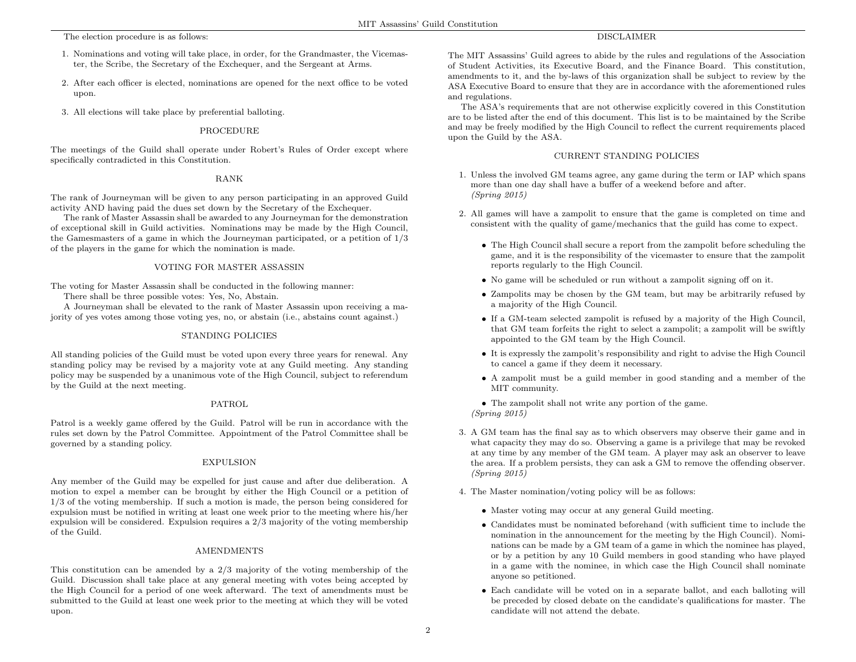The election procedure is as follows:

- 1. Nominations and voting will take place, in order, for the Grandmaster, the Vicemaster, the Scribe, the Secretary of the Exchequer, and the Sergeant at Arms.
- 2. After each officer is elected, nominations are opened for the next office to be voted upon.
- 3. All elections will take place by preferential balloting.

## PROCEDURE

The meetings of the Guild shall operate under Robert's Rules of Order except where specifically contradicted in this Constitution.

### RANK

The rank of Journeyman will be given to any person participating in an approved Guild activity AND having paid the dues set down by the Secretary of the Exchequer.

The rank of Master Assassin shall be awarded to any Journeyman for the demonstration of exceptional skill in Guild activities. Nominations may be made by the High Council, the Gamesmasters of a game in which the Journeyman participated, or a petition of 1/3 of the players in the game for which the nomination is made.

### VOTING FOR MASTER ASSASSIN

The voting for Master Assassin shall be conducted in the following manner:

There shall be three possible votes: Yes, No, Abstain.

A Journeyman shall be elevated to the rank of Master Assassin upon receiving a majority of yes votes among those voting yes, no, or abstain (i.e., abstains count against.)

## STANDING POLICIES

All standing policies of the Guild must be voted upon every three years for renewal. Any standing policy may be revised by a majority vote at any Guild meeting. Any standing policy may be suspended by a unanimous vote of the High Council, subject to referendum by the Guild at the next meeting.

# PATROL

Patrol is a weekly game offered by the Guild. Patrol will be run in accordance with the rules set down by the Patrol Committee. Appointment of the Patrol Committee shall be governed by a standing policy.

### EXPULSION

Any member of the Guild may be expelled for just cause and after due deliberation. A motion to expel a member can be brought by either the High Council or a petition of 1/3 of the voting membership. If such a motion is made, the person being considered for expulsion must be notified in writing at least one week prior to the meeting where his/her expulsion will be considered. Expulsion requires a 2/3 majority of the voting membership of the Guild.

# AMENDMENTS

This constitution can be amended by a 2/3 majority of the voting membership of the Guild. Discussion shall take place at any general meeting with votes being accepted by the High Council for a period of one week afterward. The text of amendments must be submitted to the Guild at least one week prior to the meeting at which they will be voted upon.

# DISCLAIMER

The MIT Assassins' Guild agrees to abide by the rules and regulations of the Association of Student Activities, its Executive Board, and the Finance Board. This constitution, amendments to it, and the by-laws of this organization shall be subject to review by the ASA Executive Board to ensure that they are in accordance with the aforementioned rules and regulations.

The ASA's requirements that are not otherwise explicitly covered in this Constitution are to be listed after the end of this document. This list is to be maintained by the Scribe and may be freely modified by the High Council to reflect the current requirements placed upon the Guild by the ASA.

## CURRENT STANDING POLICIES

- 1. Unless the involved GM teams agree, any game during the term or IAP which spans more than one day shall have a buffer of a weekend before and after. (Spring 2015)
- 2. All games will have a zampolit to ensure that the game is completed on time and consistent with the quality of game/mechanics that the guild has come to expect.
	- The High Council shall secure a report from the zampolit before scheduling the game, and it is the responsibility of the vicemaster to ensure that the zampolit reports regularly to the High Council.
	- No game will be scheduled or run without a zampolit signing off on it.
	- Zampolits may be chosen by the GM team, but may be arbitrarily refused by a majority of the High Council.
	- If a GM-team selected zampolit is refused by a majority of the High Council, that GM team forfeits the right to select a zampolit; a zampolit will be swiftly appointed to the GM team by the High Council.
	- It is expressly the zampolit's responsibility and right to advise the High Council to cancel a game if they deem it necessary.
	- A zampolit must be a guild member in good standing and a member of the MIT community.

• The zampolit shall not write any portion of the game. (Spring 2015)

- 3. A GM team has the final say as to which observers may observe their game and in what capacity they may do so. Observing a game is a privilege that may be revoked at any time by any member of the GM team. A player may ask an observer to leave the area. If a problem persists, they can ask a GM to remove the offending observer. (Spring 2015)
- 4. The Master nomination/voting policy will be as follows:
	- Master voting may occur at any general Guild meeting.
	- Candidates must be nominated beforehand (with sufficient time to include the nomination in the announcement for the meeting by the High Council). Nominations can be made by a GM team of a game in which the nominee has played, or by a petition by any 10 Guild members in good standing who have played in a game with the nominee, in which case the High Council shall nominate anyone so petitioned.
	- Each candidate will be voted on in a separate ballot, and each balloting will be preceded by closed debate on the candidate's qualifications for master. The candidate will not attend the debate.